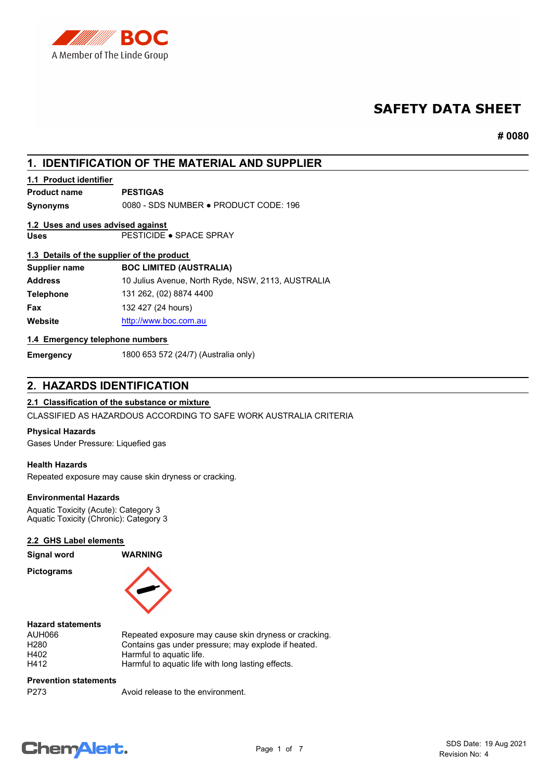

# **SAFETY DATA SHEET**

**# 0080**

# **1. IDENTIFICATION OF THE MATERIAL AND SUPPLIER**

# **1.1 Product identifier**

**Product name PESTIGAS**

**Synonyms** 0080 - SDS NUMBER ● PRODUCT CODE: 196

# **1.2 Uses and uses advised against**

**Uses** PESTICIDE ● SPACE SPRAY

## **1.3 Details of the supplier of the product**

| <b>BOC LIMITED (AUSTRALIA)</b>                     |
|----------------------------------------------------|
| 10 Julius Avenue, North Ryde, NSW, 2113, AUSTRALIA |
| 131 262, (02) 8874 4400                            |
| 132 427 (24 hours)                                 |
| http://www.boc.com.au                              |
|                                                    |

## **1.4 Emergency telephone numbers**

**Emergency** 1800 653 572 (24/7) (Australia only)

# **2. HAZARDS IDENTIFICATION**

# **2.1 Classification of the substance or mixture**

CLASSIFIED AS HAZARDOUS ACCORDING TO SAFE WORK AUSTRALIA CRITERIA

## **Physical Hazards**

Gases Under Pressure: Liquefied gas

#### **Health Hazards**

Repeated exposure may cause skin dryness or cracking.

# **Environmental Hazards**

Aquatic Toxicity (Acute): Category 3 Aquatic Toxicity (Chronic): Category 3

#### **2.2 GHS Label elements**

**Signal word WARNING**

**Pictograms**



## **Hazard statements**

| AUH066 | Repeated exposure may cause skin dryness or cracking. |
|--------|-------------------------------------------------------|
| H280   | Contains gas under pressure; may explode if heated.   |
| H402   | Harmful to aquatic life.                              |
| H412   | Harmful to aquatic life with long lasting effects.    |
|        |                                                       |

**Prevention statements**

P273 Avoid release to the environment.

# **ChemAlert.**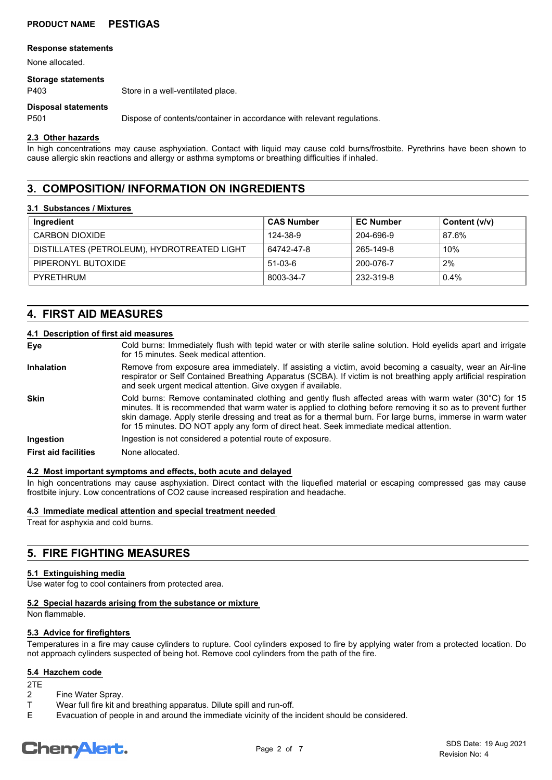#### **Response statements**

None allocated.

#### **Storage statements**

P403 Store in a well-ventilated place.

#### **Disposal statements**

P501 Dispose of contents/container in accordance with relevant regulations.

#### **2.3 Other hazards**

In high concentrations may cause asphyxiation. Contact with liquid may cause cold burns/frostbite. Pyrethrins have been shown to cause allergic skin reactions and allergy or asthma symptoms or breathing difficulties if inhaled.

# **3. COMPOSITION/ INFORMATION ON INGREDIENTS**

#### **3.1 Substances / Mixtures**

| Ingredient                                  | <b>CAS Number</b> | <b>EC Number</b> | Content (v/v) |
|---------------------------------------------|-------------------|------------------|---------------|
| <b>CARBON DIOXIDE</b>                       | 124-38-9          | 204-696-9        | 87.6%         |
| DISTILLATES (PETROLEUM), HYDROTREATED LIGHT | 64742-47-8        | 265-149-8        | 10%           |
| PIPERONYL BUTOXIDE                          | $51-03-6$         | 200-076-7        | 2%            |
| PYRETHRUM                                   | 8003-34-7         | 232-319-8        | $0.4\%$       |

# **4. FIRST AID MEASURES**

#### **4.1 Description of first aid measures**

- Cold burns: Immediately flush with tepid water or with sterile saline solution. Hold eyelids apart and irrigate for 15 minutes. Seek medical attention. **Eye**
- Remove from exposure area immediately. If assisting a victim, avoid becoming a casualty, wear an Air-line respirator or Self Contained Breathing Apparatus (SCBA). If victim is not breathing apply artificial respiration and seek urgent medical attention. Give oxygen if available. **Inhalation**
- Cold burns: Remove contaminated clothing and gently flush affected areas with warm water (30°C) for 15 minutes. It is recommended that warm water is applied to clothing before removing it so as to prevent further skin damage. Apply sterile dressing and treat as for a thermal burn. For large burns, immerse in warm water for 15 minutes. DO NOT apply any form of direct heat. Seek immediate medical attention. **Skin**
- **Ingestion Ingestion** is not considered a potential route of exposure.

#### **First aid facilities** None allocated.

#### **4.2 Most important symptoms and effects, both acute and delayed**

In high concentrations may cause asphyxiation. Direct contact with the liquefied material or escaping compressed gas may cause frostbite injury. Low concentrations of CO2 cause increased respiration and headache.

### **4.3 Immediate medical attention and special treatment needed**

Treat for asphyxia and cold burns.

# **5. FIRE FIGHTING MEASURES**

#### **5.1 Extinguishing media**

Use water fog to cool containers from protected area.

**5.2 Special hazards arising from the substance or mixture**

Non flammable.

#### **5.3 Advice for firefighters**

Temperatures in a fire may cause cylinders to rupture. Cool cylinders exposed to fire by applying water from a protected location. Do not approach cylinders suspected of being hot. Remove cool cylinders from the path of the fire.

## **5.4 Hazchem code**

- 2TE Fine Water Spray.
- T Wear full fire kit and breathing apparatus. Dilute spill and run-off.
- E Evacuation of people in and around the immediate vicinity of the incident should be considered.

# **ChemAlert.**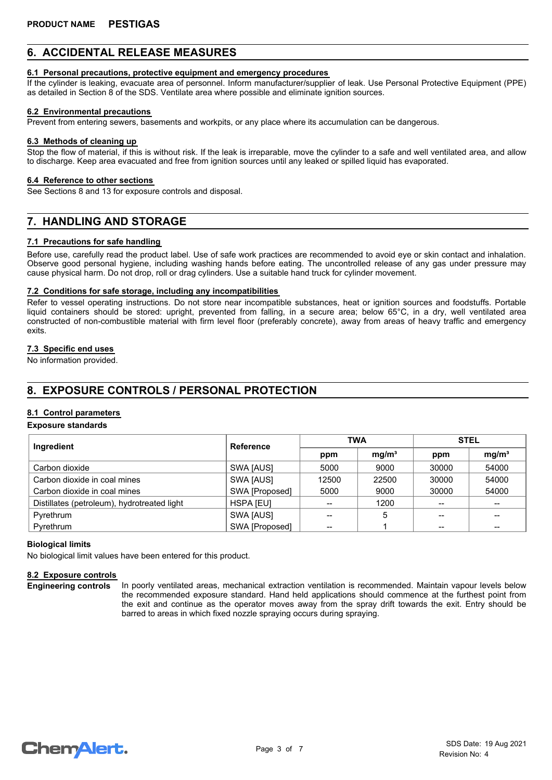# **6. ACCIDENTAL RELEASE MEASURES**

#### **6.1 Personal precautions, protective equipment and emergency procedures**

If the cylinder is leaking, evacuate area of personnel. Inform manufacturer/supplier of leak. Use Personal Protective Equipment (PPE) as detailed in Section 8 of the SDS. Ventilate area where possible and eliminate ignition sources.

#### **6.2 Environmental precautions**

Prevent from entering sewers, basements and workpits, or any place where its accumulation can be dangerous.

#### **6.3 Methods of cleaning up**

Stop the flow of material, if this is without risk. If the leak is irreparable, move the cylinder to a safe and well ventilated area, and allow to discharge. Keep area evacuated and free from ignition sources until any leaked or spilled liquid has evaporated.

#### **6.4 Reference to other sections**

See Sections 8 and 13 for exposure controls and disposal.

# **7. HANDLING AND STORAGE**

#### **7.1 Precautions for safe handling**

Before use, carefully read the product label. Use of safe work practices are recommended to avoid eye or skin contact and inhalation. Observe good personal hygiene, including washing hands before eating. The uncontrolled release of any gas under pressure may cause physical harm. Do not drop, roll or drag cylinders. Use a suitable hand truck for cylinder movement.

#### **7.2 Conditions for safe storage, including any incompatibilities**

Refer to vessel operating instructions. Do not store near incompatible substances, heat or ignition sources and foodstuffs. Portable liquid containers should be stored: upright, prevented from falling, in a secure area; below 65°C, in a dry, well ventilated area constructed of non-combustible material with firm level floor (preferably concrete), away from areas of heavy traffic and emergency exits.

### **7.3 Specific end uses**

No information provided.

# **8. EXPOSURE CONTROLS / PERSONAL PROTECTION**

## **8.1 Control parameters**

#### **Exposure standards**

| Ingredient                                  | <b>Reference</b> | <b>TWA</b> |                   | <b>STEL</b> |                   |
|---------------------------------------------|------------------|------------|-------------------|-------------|-------------------|
|                                             |                  | ppm        | mg/m <sup>3</sup> | ppm         | mg/m <sup>3</sup> |
| Carbon dioxide                              | SWA [AUS]        | 5000       | 9000              | 30000       | 54000             |
| Carbon dioxide in coal mines                | SWA [AUS]        | 12500      | 22500             | 30000       | 54000             |
| Carbon dioxide in coal mines                | SWA [Proposed]   | 5000       | 9000              | 30000       | 54000             |
| Distillates (petroleum), hydrotreated light | <b>HSPA [EU]</b> |            | 1200              |             |                   |
| Pyrethrum                                   | SWA [AUS]        |            | 5                 |             |                   |
| Pyrethrum                                   | SWA [Proposed]   | --         |                   |             |                   |

#### **Biological limits**

No biological limit values have been entered for this product.

#### **8.2 Exposure controls**

**Engineering controls**

In poorly ventilated areas, mechanical extraction ventilation is recommended. Maintain vapour levels below the recommended exposure standard. Hand held applications should commence at the furthest point from the exit and continue as the operator moves away from the spray drift towards the exit. Entry should be barred to areas in which fixed nozzle spraying occurs during spraying.

**ChemAlert.**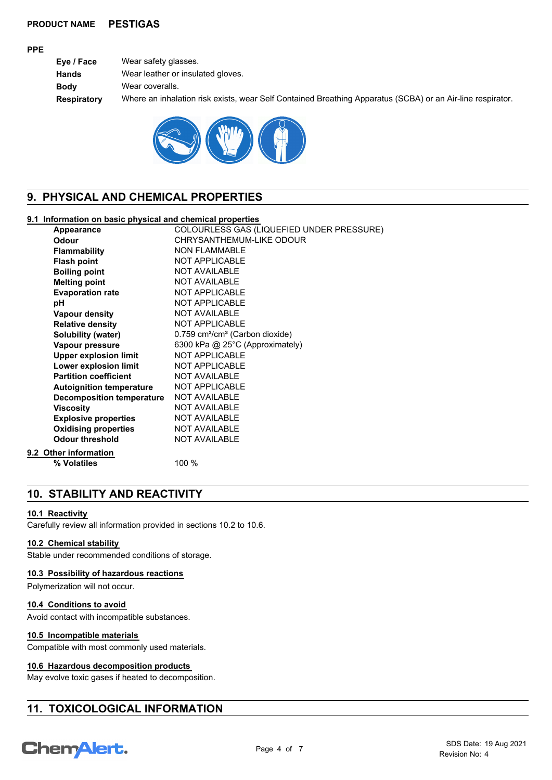#### **PPE**

| Eye / Face  | Wear safety glasses.                                                                                       |
|-------------|------------------------------------------------------------------------------------------------------------|
| Hands       | Wear leather or insulated gloves.                                                                          |
| Body        | Wear coveralls.                                                                                            |
| Respiratory | Where an inhalation risk exists, wear Self Contained Breathing Apparatus (SCBA) or an Air-line respirator. |



# **9. PHYSICAL AND CHEMICAL PROPERTIES**

## **9.1 Information on basic physical and chemical properties**

| Appearance                       | COLOURLESS GAS (LIQUEFIED UNDER PRESSURE)               |
|----------------------------------|---------------------------------------------------------|
| Odour                            | CHRYSANTHEMUM-LIKE ODOUR                                |
| <b>Flammability</b>              | <b>NON FLAMMABLE</b>                                    |
| <b>Flash point</b>               | <b>NOT APPLICABLE</b>                                   |
| <b>Boiling point</b>             | <b>NOT AVAILABLE</b>                                    |
| <b>Melting point</b>             | <b>NOT AVAILABLE</b>                                    |
| <b>Evaporation rate</b>          | <b>NOT APPLICABLE</b>                                   |
| рH                               | <b>NOT APPLICABLE</b>                                   |
| <b>Vapour density</b>            | <b>NOT AVAILABLE</b>                                    |
| <b>Relative density</b>          | <b>NOT APPLICABLE</b>                                   |
| <b>Solubility (water)</b>        | 0.759 cm <sup>3</sup> /cm <sup>3</sup> (Carbon dioxide) |
| Vapour pressure                  | 6300 kPa @ 25°C (Approximately)                         |
| <b>Upper explosion limit</b>     | <b>NOT APPLICABLE</b>                                   |
| Lower explosion limit            | <b>NOT APPLICABLE</b>                                   |
| <b>Partition coefficient</b>     | <b>NOT AVAILABLE</b>                                    |
| <b>Autoignition temperature</b>  | <b>NOT APPLICABLE</b>                                   |
| <b>Decomposition temperature</b> | <b>NOT AVAILABLE</b>                                    |
| <b>Viscosity</b>                 | <b>NOT AVAILABLE</b>                                    |
| <b>Explosive properties</b>      | <b>NOT AVAILABLE</b>                                    |
| <b>Oxidising properties</b>      | <b>NOT AVAILABLE</b>                                    |
| <b>Odour threshold</b>           | <b>NOT AVAILABLE</b>                                    |
| 9.2 Other information            |                                                         |
| % Volatiles                      | 100 %                                                   |

# **10. STABILITY AND REACTIVITY**

#### **10.1 Reactivity**

Carefully review all information provided in sections 10.2 to 10.6.

### **10.2 Chemical stability**

Stable under recommended conditions of storage.

## **10.3 Possibility of hazardous reactions**

Polymerization will not occur.

## **10.4 Conditions to avoid**

Avoid contact with incompatible substances.

## **10.5 Incompatible materials**

Compatible with most commonly used materials.

## **10.6 Hazardous decomposition products**

May evolve toxic gases if heated to decomposition.

# **11. TOXICOLOGICAL INFORMATION**

# **Chemalert.**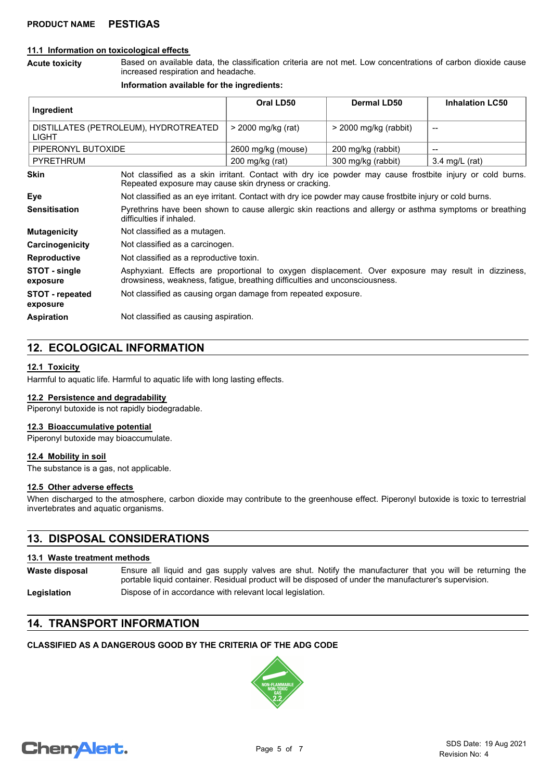#### **11.1 Information on toxicological effects**

Based on available data, the classification criteria are not met. Low concentrations of carbon dioxide cause increased respiration and headache. **Acute toxicity**

#### **Information available for the ingredients:**

| Ingredient                                            |                                                                                                                                                                                   | Oral LD50                 | <b>Dermal LD50</b>      | <b>Inhalation LC50</b>   |
|-------------------------------------------------------|-----------------------------------------------------------------------------------------------------------------------------------------------------------------------------------|---------------------------|-------------------------|--------------------------|
| DISTILLATES (PETROLEUM), HYDROTREATED<br><b>LIGHT</b> |                                                                                                                                                                                   | > 2000 mg/kg (rat)        | $>$ 2000 mg/kg (rabbit) |                          |
| PIPERONYL BUTOXIDE                                    |                                                                                                                                                                                   | 2600 mg/kg (mouse)        | 200 mg/kg (rabbit)      | --                       |
| <b>PYRETHRUM</b>                                      |                                                                                                                                                                                   | $200 \text{ mg/kg}$ (rat) | 300 mg/kg (rabbit)      | $3.4 \text{ mg/L}$ (rat) |
| <b>Skin</b>                                           | Not classified as a skin irritant. Contact with dry ice powder may cause frostbite injury or cold burns.<br>Repeated exposure may cause skin dryness or cracking.                 |                           |                         |                          |
| Eye                                                   | Not classified as an eye irritant. Contact with dry ice powder may cause frostbite injury or cold burns.                                                                          |                           |                         |                          |
| <b>Sensitisation</b>                                  | Pyrethrins have been shown to cause allergic skin reactions and allergy or asthma symptoms or breathing<br>difficulties if inhaled.                                               |                           |                         |                          |
| <b>Mutagenicity</b>                                   | Not classified as a mutagen.                                                                                                                                                      |                           |                         |                          |
| Carcinogenicity                                       | Not classified as a carcinogen.                                                                                                                                                   |                           |                         |                          |
| <b>Reproductive</b>                                   | Not classified as a reproductive toxin.                                                                                                                                           |                           |                         |                          |
| STOT - single<br>exposure                             | Asphyxiant. Effects are proportional to oxygen displacement. Over exposure may result in dizziness,<br>drowsiness, weakness, fatigue, breathing difficulties and unconsciousness. |                           |                         |                          |
| <b>STOT - repeated</b><br>exposure                    | Not classified as causing organ damage from repeated exposure.                                                                                                                    |                           |                         |                          |
| <b>Aspiration</b>                                     | Not classified as causing aspiration.                                                                                                                                             |                           |                         |                          |

# **12. ECOLOGICAL INFORMATION**

#### **12.1 Toxicity**

Harmful to aquatic life. Harmful to aquatic life with long lasting effects.

#### **12.2 Persistence and degradability**

Piperonyl butoxide is not rapidly biodegradable.

#### **12.3 Bioaccumulative potential**

Piperonyl butoxide may bioaccumulate.

#### **12.4 Mobility in soil**

The substance is a gas, not applicable.

#### **12.5 Other adverse effects**

When discharged to the atmosphere, carbon dioxide may contribute to the greenhouse effect. Piperonyl butoxide is toxic to terrestrial invertebrates and aquatic organisms.

# **13. DISPOSAL CONSIDERATIONS**

#### **13.1 Waste treatment methods**

Ensure all liquid and gas supply valves are shut. Notify the manufacturer that you will be returning the portable liquid container. Residual product will be disposed of under the manufacturer's supervision. **Waste disposal**

#### Legislation **Dispose of in accordance with relevant local legislation.**

# **14. TRANSPORT INFORMATION**

## **CLASSIFIED AS A DANGEROUS GOOD BY THE CRITERIA OF THE ADG CODE**



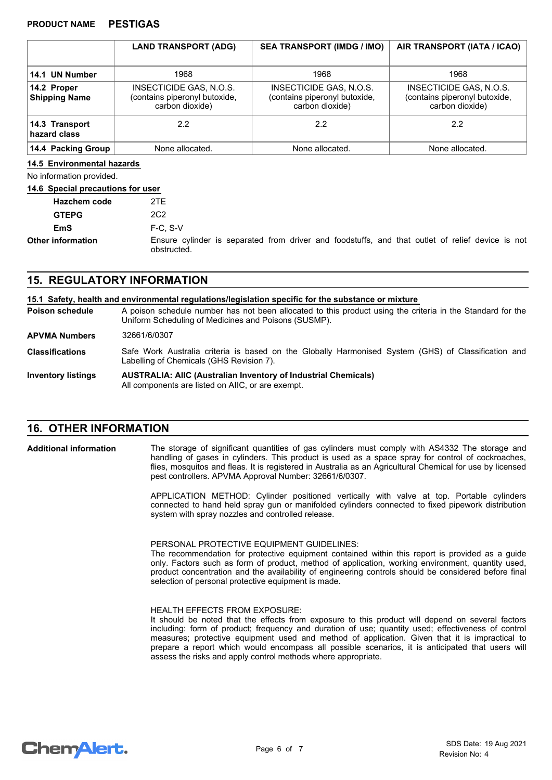|                                     | <b>LAND TRANSPORT (ADG)</b>                                                 | <b>SEA TRANSPORT (IMDG / IMO)</b>                                           | AIR TRANSPORT (IATA / ICAO)                                                 |
|-------------------------------------|-----------------------------------------------------------------------------|-----------------------------------------------------------------------------|-----------------------------------------------------------------------------|
| 14.1 UN Number                      | 1968                                                                        | 1968                                                                        | 1968                                                                        |
| 14.2 Proper<br><b>Shipping Name</b> | INSECTICIDE GAS, N.O.S.<br>(contains piperonyl butoxide,<br>carbon dioxide) | INSECTICIDE GAS, N.O.S.<br>(contains piperonyl butoxide,<br>carbon dioxide) | INSECTICIDE GAS, N.O.S.<br>(contains piperonyl butoxide,<br>carbon dioxide) |
| 14.3 Transport<br>hazard class      | 2.2                                                                         | 2.2                                                                         | 2.2                                                                         |
| 14.4 Packing Group                  | None allocated.                                                             | None allocated.                                                             | None allocated.                                                             |

#### **14.5 Environmental hazards**

No information provided.

#### **14.6 Special precautions for user**

| <b>Hazchem code</b>      | 2TE                                                                                                             |
|--------------------------|-----------------------------------------------------------------------------------------------------------------|
| <b>GTEPG</b>             | 2C <sub>2</sub>                                                                                                 |
| EmS                      | $F-C. S-V$                                                                                                      |
| <b>Other information</b> | Ensure cylinder is separated from driver and foodstuffs, and that outlet of relief device is not<br>obstructed. |

# **15. REGULATORY INFORMATION**

#### **15.1 Safety, health and environmental regulations/legislation specific for the substance or mixture**

A poison schedule number has not been allocated to this product using the criteria in the Standard for the Uniform Scheduling of Medicines and Poisons (SUSMP). **Poison schedule AUSTRALIA: AIIC (Australian Inventory of Industrial Chemicals)** All components are listed on AIIC, or are exempt. **Inventory listings** Safe Work Australia criteria is based on the Globally Harmonised System (GHS) of Classification and Labelling of Chemicals (GHS Revision 7). **Classifications APVMA Numbers** 32661/6/0307

# **16. OTHER INFORMATION**

**Additional information**

The storage of significant quantities of gas cylinders must comply with AS4332 The storage and handling of gases in cylinders. This product is used as a space spray for control of cockroaches, flies, mosquitos and fleas. It is registered in Australia as an Agricultural Chemical for use by licensed pest controllers. APVMA Approval Number: 32661/6/0307.

APPLICATION METHOD: Cylinder positioned vertically with valve at top. Portable cylinders connected to hand held spray gun or manifolded cylinders connected to fixed pipework distribution system with spray nozzles and controlled release.

PERSONAL PROTECTIVE EQUIPMENT GUIDELINES:

The recommendation for protective equipment contained within this report is provided as a guide only. Factors such as form of product, method of application, working environment, quantity used, product concentration and the availability of engineering controls should be considered before final selection of personal protective equipment is made.

#### HEALTH EFFECTS FROM EXPOSURE:

It should be noted that the effects from exposure to this product will depend on several factors including: form of product; frequency and duration of use; quantity used; effectiveness of control measures; protective equipment used and method of application. Given that it is impractical to prepare a report which would encompass all possible scenarios, it is anticipated that users will assess the risks and apply control methods where appropriate.